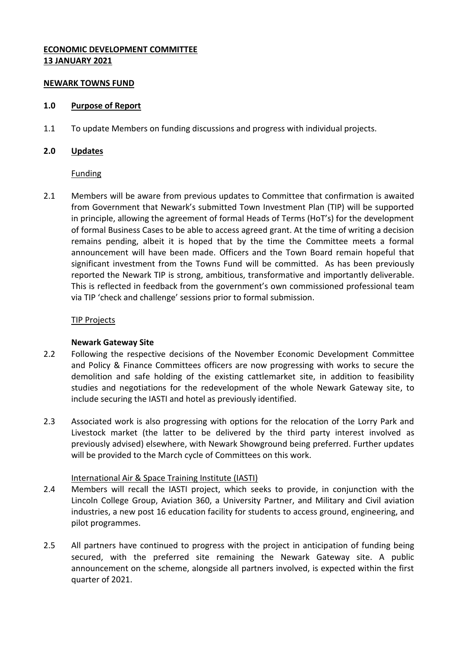# **ECONOMIC DEVELOPMENT COMMITTEE 13 JANUARY 2021**

### **NEWARK TOWNS FUND**

### **1.0 Purpose of Report**

1.1 To update Members on funding discussions and progress with individual projects.

### **2.0 Updates**

Funding

2.1 Members will be aware from previous updates to Committee that confirmation is awaited from Government that Newark's submitted Town Investment Plan (TIP) will be supported in principle, allowing the agreement of formal Heads of Terms (HoT's) for the development of formal Business Cases to be able to access agreed grant. At the time of writing a decision remains pending, albeit it is hoped that by the time the Committee meets a formal announcement will have been made. Officers and the Town Board remain hopeful that significant investment from the Towns Fund will be committed. As has been previously reported the Newark TIP is strong, ambitious, transformative and importantly deliverable. This is reflected in feedback from the government's own commissioned professional team via TIP 'check and challenge' sessions prior to formal submission.

#### TIP Projects

### **Newark Gateway Site**

- 2.2 Following the respective decisions of the November Economic Development Committee and Policy & Finance Committees officers are now progressing with works to secure the demolition and safe holding of the existing cattlemarket site, in addition to feasibility studies and negotiations for the redevelopment of the whole Newark Gateway site, to include securing the IASTI and hotel as previously identified.
- 2.3 Associated work is also progressing with options for the relocation of the Lorry Park and Livestock market (the latter to be delivered by the third party interest involved as previously advised) elsewhere, with Newark Showground being preferred. Further updates will be provided to the March cycle of Committees on this work.

### International Air & Space Training Institute (IASTI)

- 2.4 Members will recall the IASTI project, which seeks to provide, in conjunction with the Lincoln College Group, Aviation 360, a University Partner, and Military and Civil aviation industries, a new post 16 education facility for students to access ground, engineering, and pilot programmes.
- 2.5 All partners have continued to progress with the project in anticipation of funding being secured, with the preferred site remaining the Newark Gateway site. A public announcement on the scheme, alongside all partners involved, is expected within the first quarter of 2021.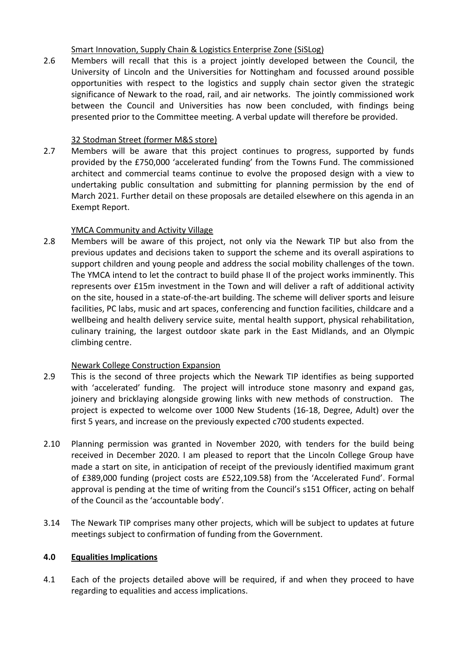Smart Innovation, Supply Chain & Logistics Enterprise Zone (SiSLog)

2.6 Members will recall that this is a project jointly developed between the Council, the University of Lincoln and the Universities for Nottingham and focussed around possible opportunities with respect to the logistics and supply chain sector given the strategic significance of Newark to the road, rail, and air networks. The jointly commissioned work between the Council and Universities has now been concluded, with findings being presented prior to the Committee meeting. A verbal update will therefore be provided.

# 32 Stodman Street (former M&S store)

2.7 Members will be aware that this project continues to progress, supported by funds provided by the £750,000 'accelerated funding' from the Towns Fund. The commissioned architect and commercial teams continue to evolve the proposed design with a view to undertaking public consultation and submitting for planning permission by the end of March 2021. Further detail on these proposals are detailed elsewhere on this agenda in an Exempt Report.

# YMCA Community and Activity Village

2.8 Members will be aware of this project, not only via the Newark TIP but also from the previous updates and decisions taken to support the scheme and its overall aspirations to support children and young people and address the social mobility challenges of the town. The YMCA intend to let the contract to build phase II of the project works imminently. This represents over £15m investment in the Town and will deliver a raft of additional activity on the site, housed in a state-of-the-art building. The scheme will deliver sports and leisure facilities, PC labs, music and art spaces, conferencing and function facilities, childcare and a wellbeing and health delivery service suite, mental health support, physical rehabilitation, culinary training, the largest outdoor skate park in the East Midlands, and an Olympic climbing centre.

# Newark College Construction Expansion

- 2.9 This is the second of three projects which the Newark TIP identifies as being supported with 'accelerated' funding. The project will introduce stone masonry and expand gas, joinery and bricklaying alongside growing links with new methods of construction. The project is expected to welcome over 1000 New Students (16-18, Degree, Adult) over the first 5 years, and increase on the previously expected c700 students expected.
- 2.10 Planning permission was granted in November 2020, with tenders for the build being received in December 2020. I am pleased to report that the Lincoln College Group have made a start on site, in anticipation of receipt of the previously identified maximum grant of £389,000 funding (project costs are £522,109.58) from the 'Accelerated Fund'. Formal approval is pending at the time of writing from the Council's s151 Officer, acting on behalf of the Council as the 'accountable body'.
- 3.14 The Newark TIP comprises many other projects, which will be subject to updates at future meetings subject to confirmation of funding from the Government.

# **4.0 Equalities Implications**

4.1 Each of the projects detailed above will be required, if and when they proceed to have regarding to equalities and access implications.